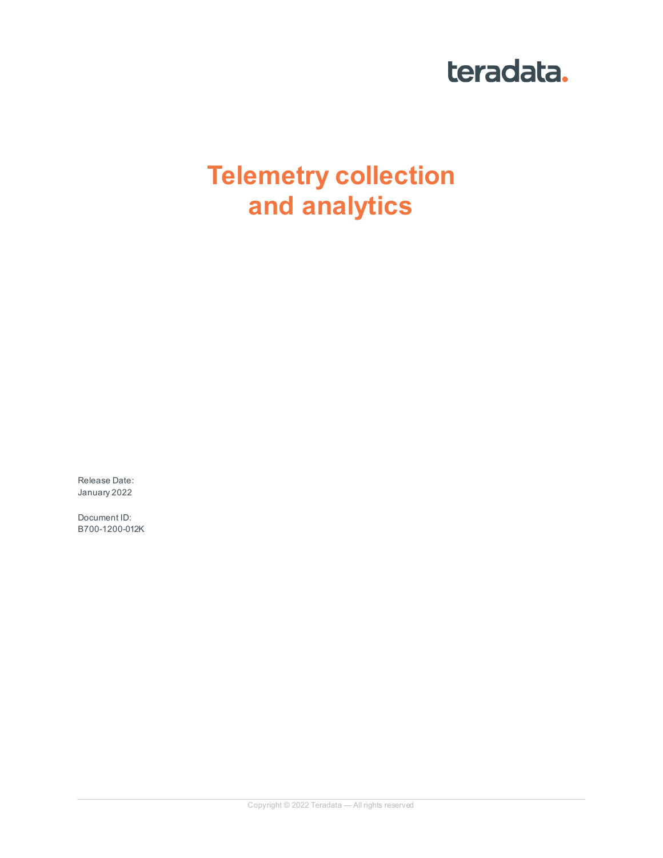# teradata.

# **Telemetry collection and analytics**

Release Date: January 2022

Document ID: B700-1200-012K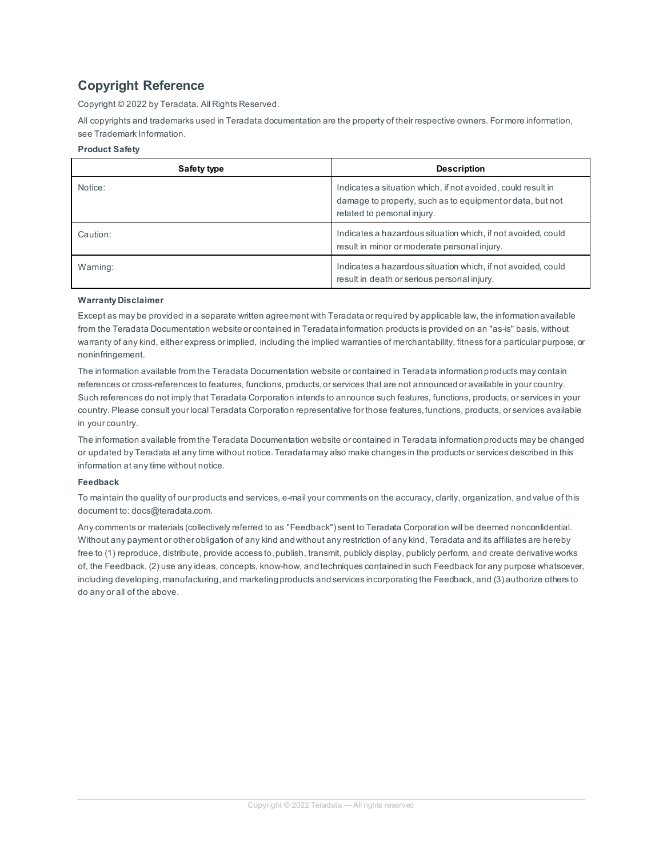## **Copyright Reference**

Copyright © 2022 by Teradata. All Rights Reserved.

All copyrights and trademarks used in Teradata documentation are the property of their respective owners. For more information, see Trademark Information.

#### **Product Safety**

| Safety type | <b>Description</b>                                                                                                                                       |
|-------------|----------------------------------------------------------------------------------------------------------------------------------------------------------|
| Notice:     | Indicates a situation which, if not avoided, could result in<br>damage to property, such as to equipment or data, but not<br>related to personal injury. |
| Caution:    | Indicates a hazardous situation which, if not avoided, could<br>result in minor or moderate personal injury.                                             |
| Warning:    | Indicates a hazardous situation which, if not avoided, could<br>result in death or serious personal injury.                                              |

#### **Warranty Disclaimer**

Except as may be provided in a separate written agreement with Teradata or required by applicable law, the information available from the Teradata Documentation website or contained in Teradata information products is provided on an "as-is" basis, without warranty of any kind, either express or implied, including the implied warranties of merchantability, fitness for a particular purpose, or noninfringement.

The information available from the Teradata Documentation website or contained in Teradata information products may contain references or cross-references to features, functions, products, or services that are not announced or available in your country. Such references do not imply that Teradata Corporation intends to announce such features, functions, products, or services in your country. Please consult your local Teradata Corporation representative for those features, functions, products, or services available in your country.

The information available from the Teradata Documentation website or contained in Teradata information products may be changed or updated by Teradata at any time without notice. Teradata may also make changes in the products or services described in this information at any time without notice.

#### **Feedback**

To maintain the quality of our products and services, e-mail your comments on the accuracy, clarity, organization, and value of this document to: docs@teradata.com.

Any comments or materials (collectively referred to as "Feedback") sent to Teradata Corporation will be deemed nonconfidential. Without any payment or other obligation of any kind and without any restriction of any kind, Teradata and its affiliates are hereby free to (1) reproduce, distribute, provide access to, publish, transmit, publicly display, publicly perform, and create derivative works of, the Feedback, (2) use any ideas, concepts, know-how, and techniques contained in such Feedback for any purpose whatsoever, including developing, manufacturing, and marketing products and services incorporating the Feedback, and (3) authorize others to do any or all of the above.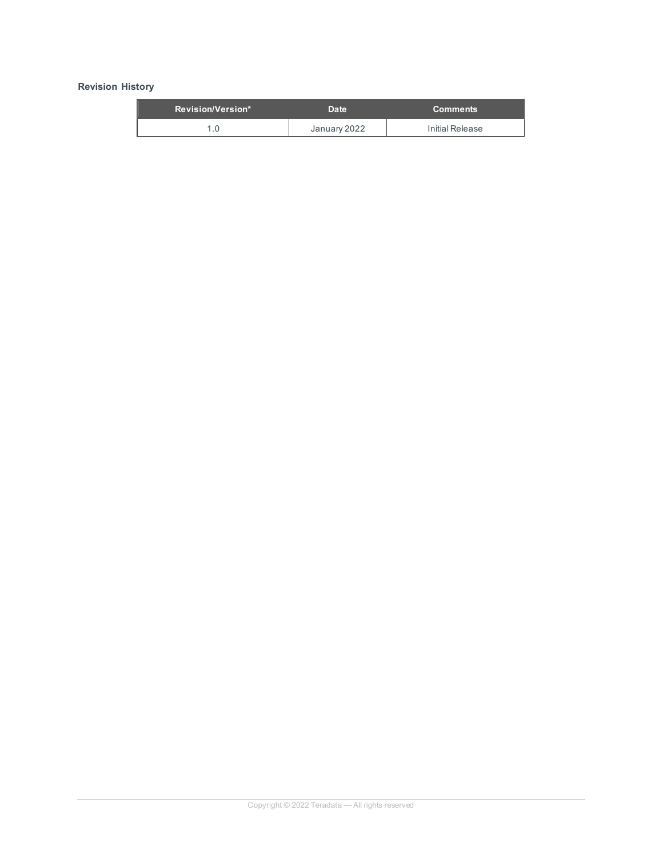#### **Revision History**

| Revision/Version* | <b>Date</b>  | 'Comments       |
|-------------------|--------------|-----------------|
|                   | January 2022 | Initial Release |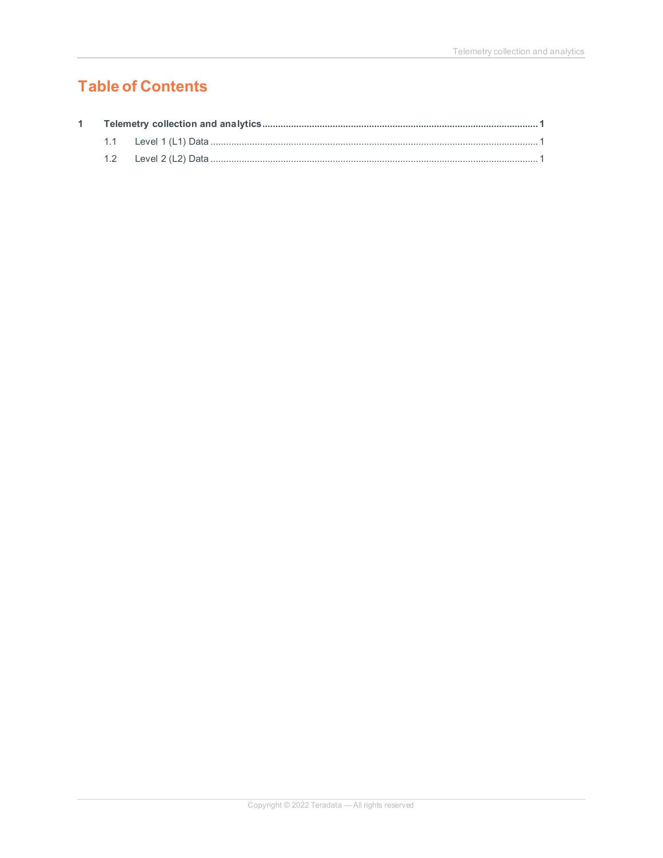# **Table of Contents**